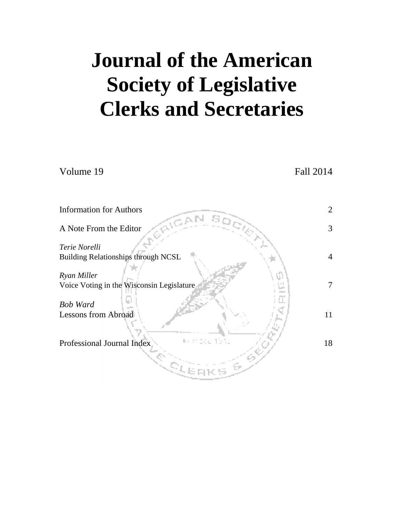# **Journal of the American Society of Legislative Clerks and Secretaries**

| Volume 19                                                   | Fall 2014      |
|-------------------------------------------------------------|----------------|
|                                                             |                |
| <b>Information for Authors</b>                              | 2              |
| A Note From the Editor                                      | 3              |
| Terie Norelli<br><b>Building Relationships through NCSL</b> | $\overline{4}$ |
| Ryan Miller<br>Voice Voting in the Wisconsin Legislature    | 7              |
| <b>Bob Ward</b><br><b>Lessons from Abroad</b>               | 11             |
| Professional Journal Index<br>$\mathcal{Q}_L$               | 18             |
|                                                             |                |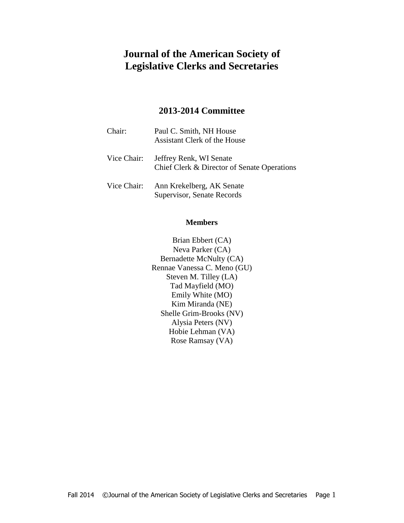# **Journal of the American Society of Legislative Clerks and Secretaries**

#### **2013-2014 Committee**

| Chair:      | Paul C. Smith, NH House<br>Assistant Clerk of the House                |
|-------------|------------------------------------------------------------------------|
| Vice Chair: | Jeffrey Renk, WI Senate<br>Chief Clerk & Director of Senate Operations |
| Vice Chair: | Ann Krekelberg, AK Senate<br>Supervisor, Senate Records                |

#### **Members**

Brian Ebbert (CA) Neva Parker (CA) Bernadette McNulty (CA) Rennae Vanessa C. Meno (GU) Steven M. Tilley (LA) Tad Mayfield (MO) Emily White (MO) Kim Miranda (NE) Shelle Grim-Brooks (NV) Alysia Peters (NV) Hobie Lehman (VA) Rose Ramsay (VA)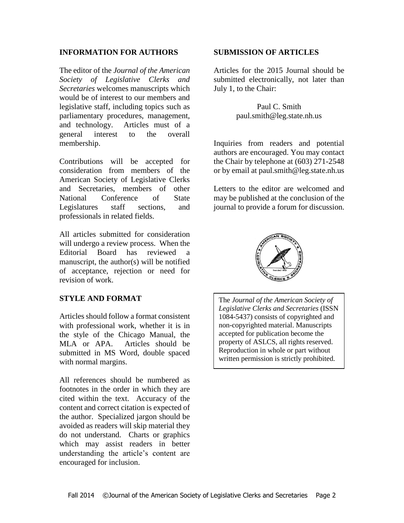#### **INFORMATION FOR AUTHORS**

The editor of the *Journal of the American Society of Legislative Clerks and Secretaries* welcomes manuscripts which would be of interest to our members and legislative staff, including topics such as parliamentary procedures, management, and technology. Articles must of a general interest to the overall membership.

Contributions will be accepted for consideration from members of the American Society of Legislative Clerks and Secretaries, members of other National Conference of State Legislatures staff sections, and professionals in related fields.

All articles submitted for consideration will undergo a review process. When the Editorial Board has reviewed a manuscript, the author(s) will be notified of acceptance, rejection or need for revision of work.

#### **STYLE AND FORMAT**

Articles should follow a format consistent with professional work, whether it is in the style of the Chicago Manual, the MLA or APA. Articles should be submitted in MS Word, double spaced with normal margins.

All references should be numbered as footnotes in the order in which they are cited within the text. Accuracy of the content and correct citation is expected of the author. Specialized jargon should be avoided as readers will skip material they do not understand. Charts or graphics which may assist readers in better understanding the article's content are encouraged for inclusion.

#### **SUBMISSION OF ARTICLES**

Articles for the 2015 Journal should be submitted electronically, not later than July 1, to the Chair:

> Paul C. Smith paul.smith@leg.state.nh.us

Inquiries from readers and potential authors are encouraged. You may contact the Chair by telephone at (603) 271-2548 or by email at paul.smith@leg.state.nh.us

Letters to the editor are welcomed and may be published at the conclusion of the journal to provide a forum for discussion.



The *Journal of the American Society of Legislative Clerks and Secretaries* (ISSN 1084-5437) consists of copyrighted and non-copyrighted material. Manuscripts accepted for publication become the property of ASLCS, all rights reserved. Reproduction in whole or part without written permission is strictly prohibited.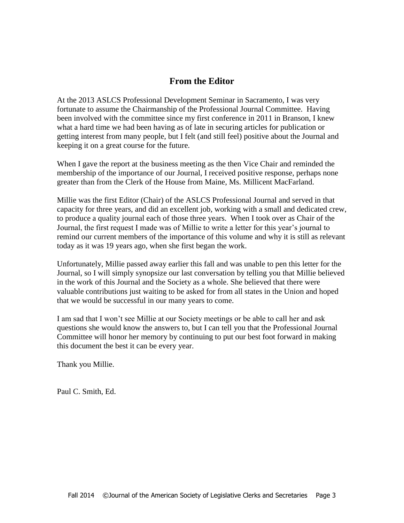## **From the Editor**

At the 2013 ASLCS Professional Development Seminar in Sacramento, I was very fortunate to assume the Chairmanship of the Professional Journal Committee. Having been involved with the committee since my first conference in 2011 in Branson, I knew what a hard time we had been having as of late in securing articles for publication or getting interest from many people, but I felt (and still feel) positive about the Journal and keeping it on a great course for the future.

When I gave the report at the business meeting as the then Vice Chair and reminded the membership of the importance of our Journal, I received positive response, perhaps none greater than from the Clerk of the House from Maine, Ms. Millicent MacFarland.

Millie was the first Editor (Chair) of the ASLCS Professional Journal and served in that capacity for three years, and did an excellent job, working with a small and dedicated crew, to produce a quality journal each of those three years. When I took over as Chair of the Journal, the first request I made was of Millie to write a letter for this year's journal to remind our current members of the importance of this volume and why it is still as relevant today as it was 19 years ago, when she first began the work.

Unfortunately, Millie passed away earlier this fall and was unable to pen this letter for the Journal, so I will simply synopsize our last conversation by telling you that Millie believed in the work of this Journal and the Society as a whole. She believed that there were valuable contributions just waiting to be asked for from all states in the Union and hoped that we would be successful in our many years to come.

I am sad that I won't see Millie at our Society meetings or be able to call her and ask questions she would know the answers to, but I can tell you that the Professional Journal Committee will honor her memory by continuing to put our best foot forward in making this document the best it can be every year.

Thank you Millie.

Paul C. Smith, Ed.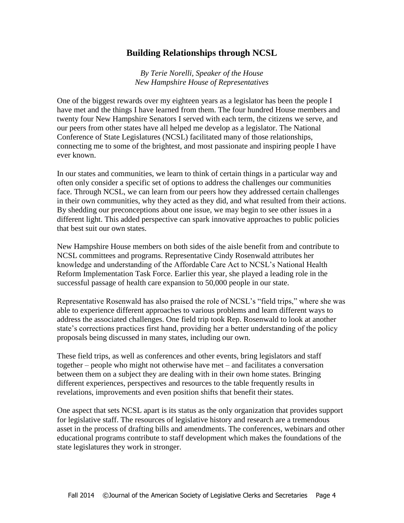## **Building Relationships through NCSL**

*By Terie Norelli, Speaker of the House New Hampshire House of Representatives*

One of the biggest rewards over my eighteen years as a legislator has been the people I have met and the things I have learned from them. The four hundred House members and twenty four New Hampshire Senators I served with each term, the citizens we serve, and our peers from other states have all helped me develop as a legislator. The National Conference of State Legislatures (NCSL) facilitated many of those relationships, connecting me to some of the brightest, and most passionate and inspiring people I have ever known.

In our states and communities, we learn to think of certain things in a particular way and often only consider a specific set of options to address the challenges our communities face. Through NCSL, we can learn from our peers how they addressed certain challenges in their own communities, why they acted as they did, and what resulted from their actions. By shedding our preconceptions about one issue, we may begin to see other issues in a different light. This added perspective can spark innovative approaches to public policies that best suit our own states.

New Hampshire House members on both sides of the aisle benefit from and contribute to NCSL committees and programs. Representative Cindy Rosenwald attributes her knowledge and understanding of the Affordable Care Act to NCSL's National Health Reform Implementation Task Force. Earlier this year, she played a leading role in the successful passage of health care expansion to 50,000 people in our state.

Representative Rosenwald has also praised the role of NCSL's "field trips," where she was able to experience different approaches to various problems and learn different ways to address the associated challenges. One field trip took Rep. Rosenwald to look at another state's corrections practices first hand, providing her a better understanding of the policy proposals being discussed in many states, including our own.

These field trips, as well as conferences and other events, bring legislators and staff together – people who might not otherwise have met – and facilitates a conversation between them on a subject they are dealing with in their own home states. Bringing different experiences, perspectives and resources to the table frequently results in revelations, improvements and even position shifts that benefit their states.

One aspect that sets NCSL apart is its status as the only organization that provides support for legislative staff. The resources of legislative history and research are a tremendous asset in the process of drafting bills and amendments. The conferences, webinars and other educational programs contribute to staff development which makes the foundations of the state legislatures they work in stronger.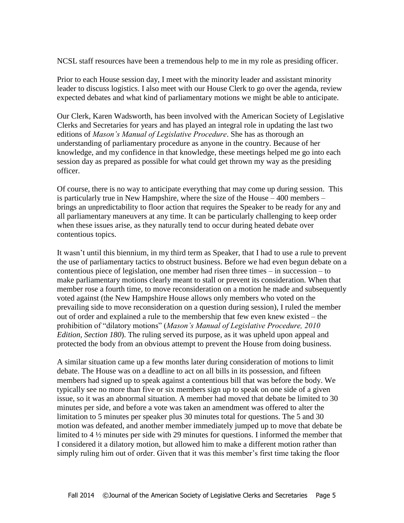NCSL staff resources have been a tremendous help to me in my role as presiding officer.

Prior to each House session day, I meet with the minority leader and assistant minority leader to discuss logistics. I also meet with our House Clerk to go over the agenda, review expected debates and what kind of parliamentary motions we might be able to anticipate.

Our Clerk, Karen Wadsworth, has been involved with the American Society of Legislative Clerks and Secretaries for years and has played an integral role in updating the last two editions of *Mason's Manual of Legislative Procedure*. She has as thorough an understanding of parliamentary procedure as anyone in the country. Because of her knowledge, and my confidence in that knowledge, these meetings helped me go into each session day as prepared as possible for what could get thrown my way as the presiding officer.

Of course, there is no way to anticipate everything that may come up during session. This is particularly true in New Hampshire, where the size of the House – 400 members – brings an unpredictability to floor action that requires the Speaker to be ready for any and all parliamentary maneuvers at any time. It can be particularly challenging to keep order when these issues arise, as they naturally tend to occur during heated debate over contentious topics.

It wasn't until this biennium, in my third term as Speaker, that I had to use a rule to prevent the use of parliamentary tactics to obstruct business. Before we had even begun debate on a contentious piece of legislation, one member had risen three times – in succession – to make parliamentary motions clearly meant to stall or prevent its consideration. When that member rose a fourth time, to move reconsideration on a motion he made and subsequently voted against (the New Hampshire House allows only members who voted on the prevailing side to move reconsideration on a question during session), I ruled the member out of order and explained a rule to the membership that few even knew existed – the prohibition of "dilatory motions" (*Mason's Manual of Legislative Procedure, 2010 Edition, Section 180*). The ruling served its purpose, as it was upheld upon appeal and protected the body from an obvious attempt to prevent the House from doing business.

A similar situation came up a few months later during consideration of motions to limit debate. The House was on a deadline to act on all bills in its possession, and fifteen members had signed up to speak against a contentious bill that was before the body. We typically see no more than five or six members sign up to speak on one side of a given issue, so it was an abnormal situation. A member had moved that debate be limited to 30 minutes per side, and before a vote was taken an amendment was offered to alter the limitation to 5 minutes per speaker plus 30 minutes total for questions. The 5 and 30 motion was defeated, and another member immediately jumped up to move that debate be limited to 4 ½ minutes per side with 29 minutes for questions. I informed the member that I considered it a dilatory motion, but allowed him to make a different motion rather than simply ruling him out of order. Given that it was this member's first time taking the floor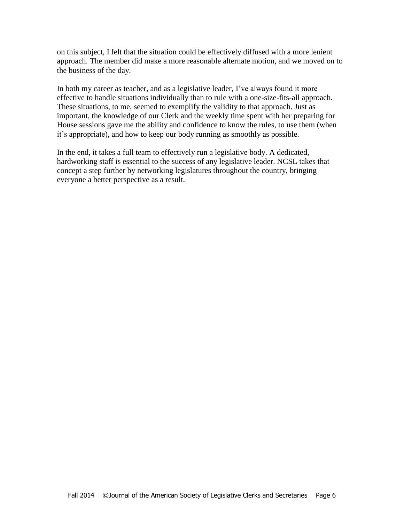on this subject, I felt that the situation could be effectively diffused with a more lenient approach. The member did make a more reasonable alternate motion, and we moved on to the business of the day.

In both my career as teacher, and as a legislative leader, I've always found it more effective to handle situations individually than to rule with a one-size-fits-all approach. These situations, to me, seemed to exemplify the validity to that approach. Just as important, the knowledge of our Clerk and the weekly time spent with her preparing for House sessions gave me the ability and confidence to know the rules, to use them (when it's appropriate), and how to keep our body running as smoothly as possible.

In the end, it takes a full team to effectively run a legislative body. A dedicated, hardworking staff is essential to the success of any legislative leader. NCSL takes that concept a step further by networking legislatures throughout the country, bringing everyone a better perspective as a result.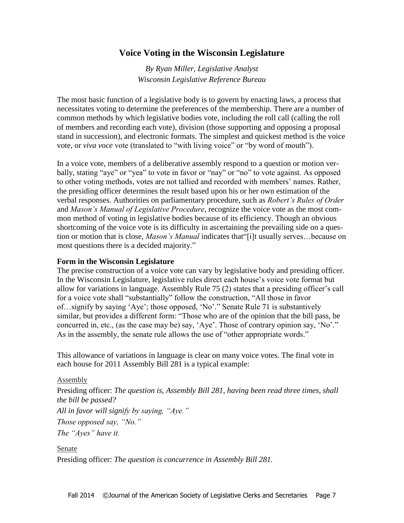## **Voice Voting in the Wisconsin Legislature**

*By Ryan Miller, Legislative Analyst Wisconsin Legislative Reference Bureau*

The most basic function of a legislative body is to govern by enacting laws, a process that necessitates voting to determine the preferences of the membership. There are a number of common methods by which legislative bodies vote, including the roll call (calling the roll of members and recording each vote), division (those supporting and opposing a proposal stand in succession), and electronic formats. The simplest and quickest method is the voice vote, or *viva voce* vote (translated to "with living voice" or "by word of mouth").

In a voice vote, members of a deliberative assembly respond to a question or motion verbally, stating "aye" or "yea" to vote in favor or "nay" or "no" to vote against. As opposed to other voting methods, votes are not tallied and recorded with members' names. Rather, the presiding officer determines the result based upon his or her own estimation of the verbal responses. Authorities on parliamentary procedure, such as *Robert's Rules of Order*  and *Mason's Manual of Legislative Procedure*, recognize the voice vote as the most common method of voting in legislative bodies because of its efficiency. Though an obvious shortcoming of the voice vote is its difficulty in ascertaining the prevailing side on a question or motion that is close, *Mason's Manual* indicates that"[i]t usually serves…because on most questions there is a decided majority."

#### **Form in the Wisconsin Legislature**

The precise construction of a voice vote can vary by legislative body and presiding officer. In the Wisconsin Legislature, legislative rules direct each house's voice vote format but allow for variations in language. Assembly Rule 75 (2) states that a presiding officer's call for a voice vote shall "substantially" follow the construction, "All those in favor of…signify by saying 'Aye'; those opposed, 'No'." Senate Rule 71 is substantively similar, but provides a different form: "Those who are of the opinion that the bill pass, be concurred in, etc., (as the case may be) say, 'Aye'. Those of contrary opinion say, 'No'." As in the assembly, the senate rule allows the use of "other appropriate words."

This allowance of variations in language is clear on many voice votes. The final vote in each house for 2011 Assembly Bill 281 is a typical example:

#### Assembly

Presiding officer: *The question is, Assembly Bill 281, having been read three times, shall the bill be passed?*

*All in favor will signify by saying, "Aye."*

*Those opposed say, "No."*

*The "Ayes" have it.*

Senate

Presiding officer: *The question is concurrence in Assembly Bill 281.*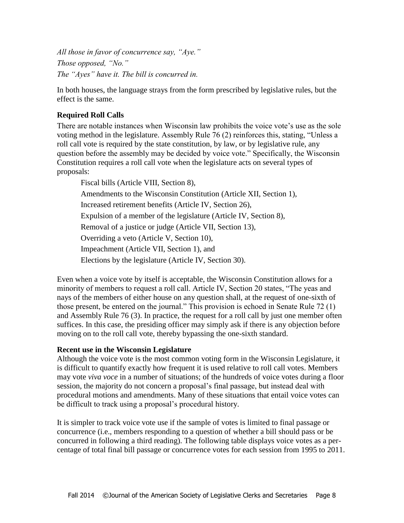*All those in favor of concurrence say, "Aye." Those opposed, "No." The "Ayes" have it. The bill is concurred in.*

In both houses, the language strays from the form prescribed by legislative rules, but the effect is the same.

## **Required Roll Calls**

There are notable instances when Wisconsin law prohibits the voice vote's use as the sole voting method in the legislature. Assembly Rule 76 (2) reinforces this, stating, "Unless a roll call vote is required by the state constitution, by law, or by legislative rule, any question before the assembly may be decided by voice vote." Specifically, the Wisconsin Constitution requires a roll call vote when the legislature acts on several types of proposals:

Fiscal bills (Article VIII, Section 8), Amendments to the Wisconsin Constitution (Article XII, Section 1), Increased retirement benefits (Article IV, Section 26), Expulsion of a member of the legislature (Article IV, Section 8), Removal of a justice or judge (Article VII, Section 13), Overriding a veto (Article V, Section 10), Impeachment (Article VII, Section 1), and Elections by the legislature (Article IV, Section 30).

Even when a voice vote by itself is acceptable, the Wisconsin Constitution allows for a minority of members to request a roll call. Article IV, Section 20 states, "The yeas and nays of the members of either house on any question shall, at the request of one-sixth of those present, be entered on the journal." This provision is echoed in Senate Rule 72 (1) and Assembly Rule 76 (3). In practice, the request for a roll call by just one member often suffices. In this case, the presiding officer may simply ask if there is any objection before moving on to the roll call vote, thereby bypassing the one-sixth standard.

#### **Recent use in the Wisconsin Legislature**

Although the voice vote is the most common voting form in the Wisconsin Legislature, it is difficult to quantify exactly how frequent it is used relative to roll call votes. Members may vote *viva voce* in a number of situations; of the hundreds of voice votes during a floor session, the majority do not concern a proposal's final passage, but instead deal with procedural motions and amendments. Many of these situations that entail voice votes can be difficult to track using a proposal's procedural history.

It is simpler to track voice vote use if the sample of votes is limited to final passage or concurrence (i.e., members responding to a question of whether a bill should pass or be concurred in following a third reading). The following table displays voice votes as a percentage of total final bill passage or concurrence votes for each session from 1995 to 2011.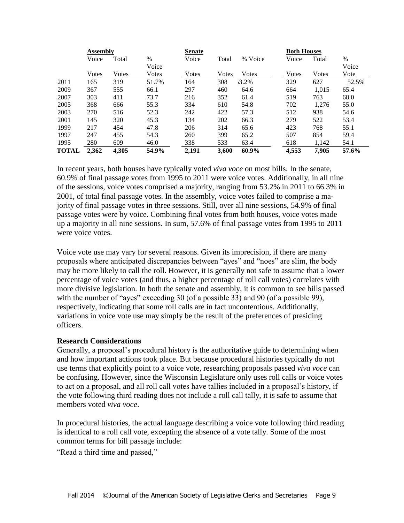|              | Assembly |       |       | <b>Senate</b> |       |         | <b>Both Houses</b> |       |       |
|--------------|----------|-------|-------|---------------|-------|---------|--------------------|-------|-------|
|              | Voice    | Total | %     | Voice         | Total | % Voice | Voice              | Total | %     |
|              |          |       | Voice |               |       |         |                    |       | Voice |
|              | Votes    | Votes | Votes | Votes         | Votes | Votes   | Votes              | Votes | Vote  |
| 2011         | 165      | 319   | 51.7% | 164           | 308   | 13.2%   | 329                | 627   | 52.5% |
| 2009         | 367      | 555   | 66.1  | 297           | 460   | 64.6    | 664                | 1.015 | 65.4  |
| 2007         | 303      | 411   | 73.7  | 216           | 352   | 61.4    | 519                | 763   | 68.0  |
| 2005         | 368      | 666   | 55.3  | 334           | 610   | 54.8    | 702                | 1,276 | 55.0  |
| 2003         | 270      | 516   | 52.3  | 242           | 422   | 57.3    | 512                | 938   | 54.6  |
| 2001         | 145      | 320   | 45.3  | 134           | 202   | 66.3    | 279                | 522   | 53.4  |
| 1999         | 217      | 454   | 47.8  | 206           | 314   | 65.6    | 423                | 768   | 55.1  |
| 1997         | 247      | 455   | 54.3  | 260           | 399   | 65.2    | 507                | 854   | 59.4  |
| 1995         | 280      | 609   | 46.0  | 338           | 533   | 63.4    | 618                | 1,142 | 54.1  |
| <b>TOTAL</b> | 2,362    | 4,305 | 54.9% | 2,191         | 3,600 | 60.9%   | 4,553              | 7.905 | 57.6% |

In recent years, both houses have typically voted *viva voce* on most bills. In the senate, 60.9% of final passage votes from 1995 to 2011 were voice votes. Additionally, in all nine of the sessions, voice votes comprised a majority, ranging from 53.2% in 2011 to 66.3% in 2001, of total final passage votes. In the assembly, voice votes failed to comprise a majority of final passage votes in three sessions. Still, over all nine sessions, 54.9% of final passage votes were by voice. Combining final votes from both houses, voice votes made up a majority in all nine sessions. In sum, 57.6% of final passage votes from 1995 to 2011 were voice votes.

Voice vote use may vary for several reasons. Given its imprecision, if there are many proposals where anticipated discrepancies between "ayes" and "noes" are slim, the body may be more likely to call the roll. However, it is generally not safe to assume that a lower percentage of voice votes (and thus, a higher percentage of roll call votes) correlates with more divisive legislation. In both the senate and assembly, it is common to see bills passed with the number of "ayes" exceeding 30 (of a possible 33) and 90 (of a possible 99), respectively, indicating that some roll calls are in fact uncontentious. Additionally, variations in voice vote use may simply be the result of the preferences of presiding officers.

#### **Research Considerations**

Generally, a proposal's procedural history is the authoritative guide to determining when and how important actions took place. But because procedural histories typically do not use terms that explicitly point to a voice vote, researching proposals passed *viva voce* can be confusing. However, since the Wisconsin Legislature only uses roll calls or voice votes to act on a proposal, and all roll call votes have tallies included in a proposal's history, if the vote following third reading does not include a roll call tally, it is safe to assume that members voted *viva voce*.

In procedural histories, the actual language describing a voice vote following third reading is identical to a roll call vote, excepting the absence of a vote tally. Some of the most common terms for bill passage include:

"Read a third time and passed,"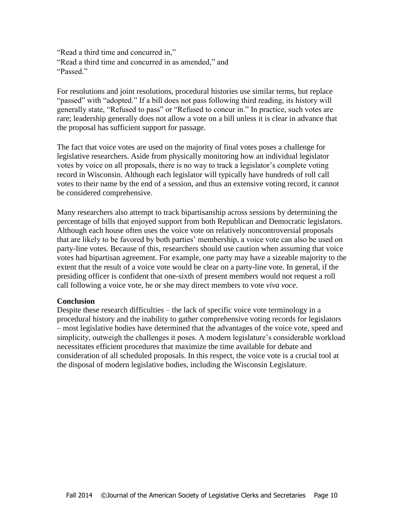"Read a third time and concurred in," "Read a third time and concurred in as amended," and "Passed"

For resolutions and joint resolutions, procedural histories use similar terms, but replace "passed" with "adopted." If a bill does not pass following third reading, its history will generally state, "Refused to pass" or "Refused to concur in." In practice, such votes are rare; leadership generally does not allow a vote on a bill unless it is clear in advance that the proposal has sufficient support for passage.

The fact that voice votes are used on the majority of final votes poses a challenge for legislative researchers. Aside from physically monitoring how an individual legislator votes by voice on all proposals, there is no way to track a legislator's complete voting record in Wisconsin. Although each legislator will typically have hundreds of roll call votes to their name by the end of a session, and thus an extensive voting record, it cannot be considered comprehensive.

Many researchers also attempt to track bipartisanship across sessions by determining the percentage of bills that enjoyed support from both Republican and Democratic legislators. Although each house often uses the voice vote on relatively noncontroversial proposals that are likely to be favored by both parties' membership, a voice vote can also be used on party-line votes. Because of this, researchers should use caution when assuming that voice votes had bipartisan agreement. For example, one party may have a sizeable majority to the extent that the result of a voice vote would be clear on a party-line vote. In general, if the presiding officer is confident that one-sixth of present members would not request a roll call following a voice vote, he or she may direct members to vote *viva voce*.

#### **Conclusion**

Despite these research difficulties – the lack of specific voice vote terminology in a procedural history and the inability to gather comprehensive voting records for legislators – most legislative bodies have determined that the advantages of the voice vote, speed and simplicity, outweigh the challenges it poses. A modern legislature's considerable workload necessitates efficient procedures that maximize the time available for debate and consideration of all scheduled proposals. In this respect, the voice vote is a crucial tool at the disposal of modern legislative bodies, including the Wisconsin Legislature.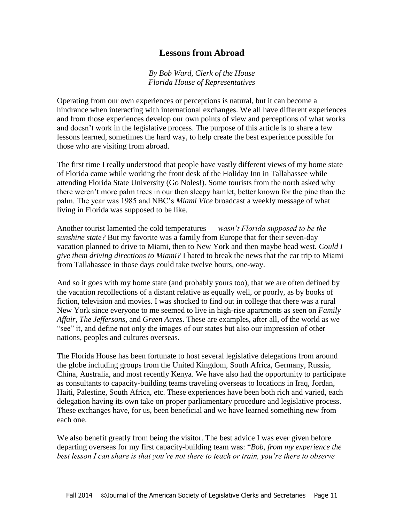## **Lessons from Abroad**

#### *By Bob Ward, Clerk of the House Florida House of Representatives*

Operating from our own experiences or perceptions is natural, but it can become a hindrance when interacting with international exchanges. We all have different experiences and from those experiences develop our own points of view and perceptions of what works and doesn't work in the legislative process. The purpose of this article is to share a few lessons learned, sometimes the hard way, to help create the best experience possible for those who are visiting from abroad.

The first time I really understood that people have vastly different views of my home state of Florida came while working the front desk of the Holiday Inn in Tallahassee while attending Florida State University (Go Noles!). Some tourists from the north asked why there weren't more palm trees in our then sleepy hamlet, better known for the pine than the palm. The year was 1985 and NBC's *Miami Vice* broadcast a weekly message of what living in Florida was supposed to be like.

Another tourist lamented the cold temperatures — *wasn't Florida supposed to be the sunshine state?* But my favorite was a family from Europe that for their seven-day vacation planned to drive to Miami, then to New York and then maybe head west. *Could I give them driving directions to Miami?* I hated to break the news that the car trip to Miami from Tallahassee in those days could take twelve hours, one-way.

And so it goes with my home state (and probably yours too), that we are often defined by the vacation recollections of a distant relative as equally well, or poorly, as by books of fiction, television and movies. I was shocked to find out in college that there was a rural New York since everyone to me seemed to live in high-rise apartments as seen on *Family Affair, The Jeffersons,* and *Green Acres*. These are examples, after all, of the world as we "see" it, and define not only the images of our states but also our impression of other nations, peoples and cultures overseas.

The Florida House has been fortunate to host several legislative delegations from around the globe including groups from the United Kingdom, South Africa, Germany, Russia, China, Australia, and most recently Kenya. We have also had the opportunity to participate as consultants to capacity-building teams traveling overseas to locations in Iraq, Jordan, Haiti, Palestine, South Africa, etc. These experiences have been both rich and varied, each delegation having its own take on proper parliamentary procedure and legislative process. These exchanges have, for us, been beneficial and we have learned something new from each one.

We also benefit greatly from being the visitor. The best advice I was ever given before departing overseas for my first capacity-building team was: "*Bob, from my experience the best lesson I can share is that you're not there to teach or train, you're there to observe*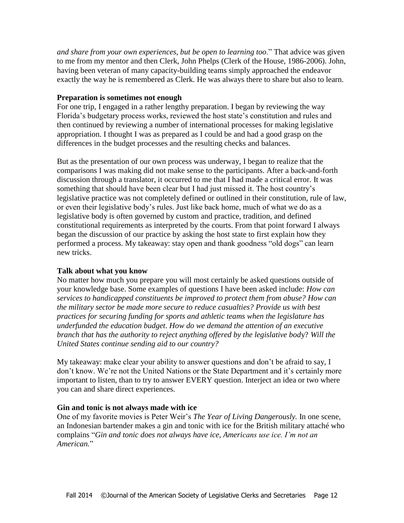*and share from your own experiences, but be open to learning too*." That advice was given to me from my mentor and then Clerk, John Phelps (Clerk of the House, 1986-2006). John, having been veteran of many capacity-building teams simply approached the endeavor exactly the way he is remembered as Clerk. He was always there to share but also to learn.

#### **Preparation is sometimes not enough**

For one trip, I engaged in a rather lengthy preparation. I began by reviewing the way Florida's budgetary process works, reviewed the host state's constitution and rules and then continued by reviewing a number of international processes for making legislative appropriation. I thought I was as prepared as I could be and had a good grasp on the differences in the budget processes and the resulting checks and balances.

But as the presentation of our own process was underway, I began to realize that the comparisons I was making did not make sense to the participants. After a back-and-forth discussion through a translator, it occurred to me that I had made a critical error. It was something that should have been clear but I had just missed it. The host country's legislative practice was not completely defined or outlined in their constitution, rule of law, or even their legislative body's rules. Just like back home, much of what we do as a legislative body is often governed by custom and practice, tradition, and defined constitutional requirements as interpreted by the courts. From that point forward I always began the discussion of our practice by asking the host state to first explain how they performed a process. My takeaway: stay open and thank goodness "old dogs" can learn new tricks.

#### **Talk about what you know**

No matter how much you prepare you will most certainly be asked questions outside of your knowledge base. Some examples of questions I have been asked include: *How can services to handicapped constituents be improved to protect them from abuse? How can the military sector be made more secure to reduce casualties? Provide us with best practices for securing funding for sports and athletic teams when the legislature has underfunded the education budget*. *How do we demand the attention of an executive branch that has the authority to reject anything offered by the legislative bod*y? *Will the United States continue sending aid to our country?*

My takeaway: make clear your ability to answer questions and don't be afraid to say, I don't know. We're not the United Nations or the State Department and it's certainly more important to listen, than to try to answer EVERY question. Interject an idea or two where you can and share direct experiences.

#### **Gin and tonic is not always made with ice**

One of my favorite movies is Peter Weir's *The Year of Living Dangerously.* In one scene, an Indonesian bartender makes a gin and tonic with ice for the British military attaché who complains "*Gin and tonic does not always have ice, Americans use ice. I'm not an American.*"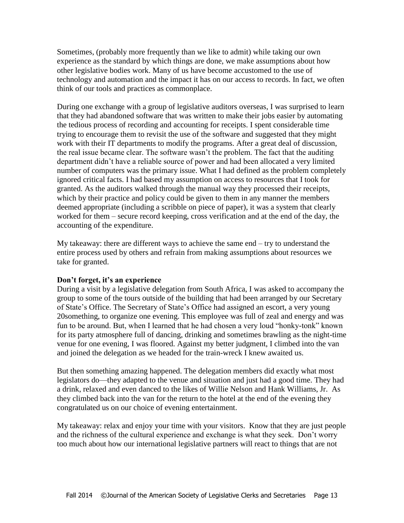Sometimes, (probably more frequently than we like to admit) while taking our own experience as the standard by which things are done, we make assumptions about how other legislative bodies work. Many of us have become accustomed to the use of technology and automation and the impact it has on our access to records. In fact, we often think of our tools and practices as commonplace.

During one exchange with a group of legislative auditors overseas, I was surprised to learn that they had abandoned software that was written to make their jobs easier by automating the tedious process of recording and accounting for receipts. I spent considerable time trying to encourage them to revisit the use of the software and suggested that they might work with their IT departments to modify the programs. After a great deal of discussion, the real issue became clear. The software wasn't the problem. The fact that the auditing department didn't have a reliable source of power and had been allocated a very limited number of computers was the primary issue. What I had defined as the problem completely ignored critical facts. I had based my assumption on access to resources that I took for granted. As the auditors walked through the manual way they processed their receipts, which by their practice and policy could be given to them in any manner the members deemed appropriate (including a scribble on piece of paper), it was a system that clearly worked for them – secure record keeping, cross verification and at the end of the day, the accounting of the expenditure.

My takeaway: there are different ways to achieve the same end – try to understand the entire process used by others and refrain from making assumptions about resources we take for granted.

#### **Don't forget, it's an experience**

During a visit by a legislative delegation from South Africa, I was asked to accompany the group to some of the tours outside of the building that had been arranged by our Secretary of State's Office. The Secretary of State's Office had assigned an escort, a very young 20something, to organize one evening. This employee was full of zeal and energy and was fun to be around. But, when I learned that he had chosen a very loud "honky-tonk" known for its party atmosphere full of dancing, drinking and sometimes brawling as the night-time venue for one evening, I was floored. Against my better judgment, I climbed into the van and joined the delegation as we headed for the train-wreck I knew awaited us.

But then something amazing happened. The delegation members did exactly what most legislators do—they adapted to the venue and situation and just had a good time. They had a drink, relaxed and even danced to the likes of Willie Nelson and Hank Williams, Jr. As they climbed back into the van for the return to the hotel at the end of the evening they congratulated us on our choice of evening entertainment.

My takeaway: relax and enjoy your time with your visitors. Know that they are just people and the richness of the cultural experience and exchange is what they seek. Don't worry too much about how our international legislative partners will react to things that are not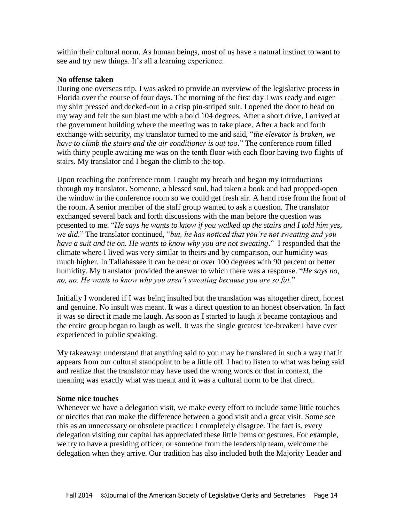within their cultural norm. As human beings, most of us have a natural instinct to want to see and try new things. It's all a learning experience.

#### **No offense taken**

During one overseas trip, I was asked to provide an overview of the legislative process in Florida over the course of four days. The morning of the first day I was ready and eager – my shirt pressed and decked-out in a crisp pin-striped suit. I opened the door to head on my way and felt the sun blast me with a bold 104 degrees. After a short drive, I arrived at the government building where the meeting was to take place. After a back and forth exchange with security, my translator turned to me and said, "*the elevator is broken, we have to climb the stairs and the air conditioner is out too*." The conference room filled with thirty people awaiting me was on the tenth floor with each floor having two flights of stairs. My translator and I began the climb to the top.

Upon reaching the conference room I caught my breath and began my introductions through my translator. Someone, a blessed soul, had taken a book and had propped-open the window in the conference room so we could get fresh air. A hand rose from the front of the room. A senior member of the staff group wanted to ask a question. The translator exchanged several back and forth discussions with the man before the question was presented to me. "*He says he wants to know if you walked up the stairs and I told him yes, we did*." The translator continued, "*but, he has noticed that you're not sweating and you have a suit and tie on. He wants to know why you are not sweating*." I responded that the climate where I lived was very similar to theirs and by comparison, our humidity was much higher. In Tallahassee it can be near or over 100 degrees with 90 percent or better humidity. My translator provided the answer to which there was a response. "*He says no, no, no. He wants to know why you aren't sweating because you are so fat.*"

Initially I wondered if I was being insulted but the translation was altogether direct, honest and genuine. No insult was meant. It was a direct question to an honest observation. In fact it was so direct it made me laugh. As soon as I started to laugh it became contagious and the entire group began to laugh as well. It was the single greatest ice-breaker I have ever experienced in public speaking.

My takeaway: understand that anything said to you may be translated in such a way that it appears from our cultural standpoint to be a little off. I had to listen to what was being said and realize that the translator may have used the wrong words or that in context, the meaning was exactly what was meant and it was a cultural norm to be that direct.

#### **Some nice touches**

Whenever we have a delegation visit, we make every effort to include some little touches or niceties that can make the difference between a good visit and a great visit. Some see this as an unnecessary or obsolete practice: I completely disagree. The fact is, every delegation visiting our capital has appreciated these little items or gestures. For example, we try to have a presiding officer, or someone from the leadership team, welcome the delegation when they arrive. Our tradition has also included both the Majority Leader and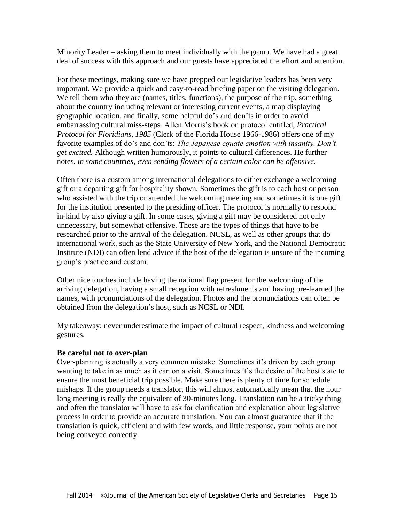Minority Leader – asking them to meet individually with the group. We have had a great deal of success with this approach and our guests have appreciated the effort and attention.

For these meetings, making sure we have prepped our legislative leaders has been very important. We provide a quick and easy-to-read briefing paper on the visiting delegation. We tell them who they are (names, titles, functions), the purpose of the trip, something about the country including relevant or interesting current events, a map displaying geographic location, and finally, some helpful do's and don'ts in order to avoid embarrassing cultural miss-steps*.* Allen Morris's book on protocol entitled, *Practical Protocol for Floridians, 1985* (Clerk of the Florida House 1966-1986) offers one of my favorite examples of do's and don'ts: *The Japanese equate emotion with insanity. Don't get excited.* Although written humorously, it points to cultural differences. He further notes, *in some countries, even sending flowers of a certain color can be offensive.* 

Often there is a custom among international delegations to either exchange a welcoming gift or a departing gift for hospitality shown. Sometimes the gift is to each host or person who assisted with the trip or attended the welcoming meeting and sometimes it is one gift for the institution presented to the presiding officer. The protocol is normally to respond in-kind by also giving a gift. In some cases, giving a gift may be considered not only unnecessary, but somewhat offensive. These are the types of things that have to be researched prior to the arrival of the delegation. NCSL, as well as other groups that do international work, such as the State University of New York, and the National Democratic Institute (NDI) can often lend advice if the host of the delegation is unsure of the incoming group's practice and custom.

Other nice touches include having the national flag present for the welcoming of the arriving delegation, having a small reception with refreshments and having pre-learned the names, with pronunciations of the delegation. Photos and the pronunciations can often be obtained from the delegation's host, such as NCSL or NDI.

My takeaway: never underestimate the impact of cultural respect, kindness and welcoming gestures.

#### **Be careful not to over-plan**

Over-planning is actually a very common mistake. Sometimes it's driven by each group wanting to take in as much as it can on a visit. Sometimes it's the desire of the host state to ensure the most beneficial trip possible. Make sure there is plenty of time for schedule mishaps. If the group needs a translator, this will almost automatically mean that the hour long meeting is really the equivalent of 30-minutes long. Translation can be a tricky thing and often the translator will have to ask for clarification and explanation about legislative process in order to provide an accurate translation. You can almost guarantee that if the translation is quick, efficient and with few words, and little response, your points are not being conveyed correctly.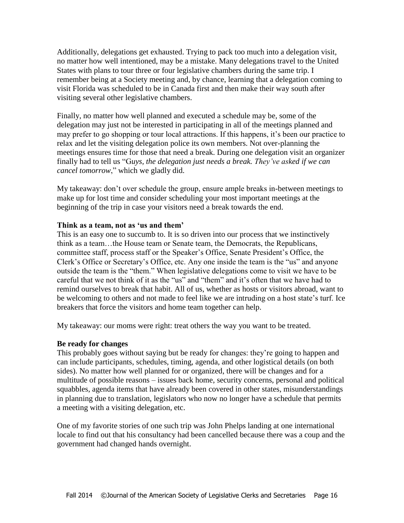Additionally, delegations get exhausted. Trying to pack too much into a delegation visit, no matter how well intentioned, may be a mistake. Many delegations travel to the United States with plans to tour three or four legislative chambers during the same trip. I remember being at a Society meeting and, by chance, learning that a delegation coming to visit Florida was scheduled to be in Canada first and then make their way south after visiting several other legislative chambers.

Finally, no matter how well planned and executed a schedule may be, some of the delegation may just not be interested in participating in all of the meetings planned and may prefer to go shopping or tour local attractions. If this happens, it's been our practice to relax and let the visiting delegation police its own members. Not over-planning the meetings ensures time for those that need a break. During one delegation visit an organizer finally had to tell us "G*uys, the delegation just needs a break. They've asked if we can cancel tomorrow*," which we gladly did.

My takeaway: don't over schedule the group, ensure ample breaks in-between meetings to make up for lost time and consider scheduling your most important meetings at the beginning of the trip in case your visitors need a break towards the end.

#### **Think as a team, not as 'us and them'**

This is an easy one to succumb to. It is so driven into our process that we instinctively think as a team…the House team or Senate team, the Democrats, the Republicans, committee staff, process staff or the Speaker's Office, Senate President's Office, the Clerk's Office or Secretary's Office, etc. Any one inside the team is the "us" and anyone outside the team is the "them." When legislative delegations come to visit we have to be careful that we not think of it as the "us" and "them" and it's often that we have had to remind ourselves to break that habit. All of us, whether as hosts or visitors abroad, want to be welcoming to others and not made to feel like we are intruding on a host state's turf. Ice breakers that force the visitors and home team together can help.

My takeaway: our moms were right: treat others the way you want to be treated.

#### **Be ready for changes**

This probably goes without saying but be ready for changes: they're going to happen and can include participants, schedules, timing, agenda, and other logistical details (on both sides). No matter how well planned for or organized, there will be changes and for a multitude of possible reasons – issues back home, security concerns, personal and political squabbles, agenda items that have already been covered in other states, misunderstandings in planning due to translation, legislators who now no longer have a schedule that permits a meeting with a visiting delegation, etc.

One of my favorite stories of one such trip was John Phelps landing at one international locale to find out that his consultancy had been cancelled because there was a coup and the government had changed hands overnight.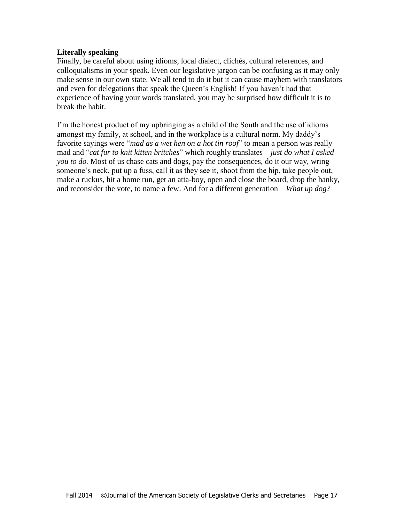#### **Literally speaking**

Finally, be careful about using idioms, local dialect, clichés, cultural references, and colloquialisms in your speak. Even our legislative jargon can be confusing as it may only make sense in our own state. We all tend to do it but it can cause mayhem with translators and even for delegations that speak the Queen's English! If you haven't had that experience of having your words translated, you may be surprised how difficult it is to break the habit.

I'm the honest product of my upbringing as a child of the South and the use of idioms amongst my family, at school, and in the workplace is a cultural norm. My daddy's favorite sayings were "*mad as a wet hen on a hot tin roof*" to mean a person was really mad and "*cat fur to knit kitten britches*" which roughly translates—*just do what I asked you to do.* Most of us chase cats and dogs, pay the consequences, do it our way, wring someone's neck, put up a fuss, call it as they see it, shoot from the hip, take people out, make a ruckus, hit a home run, get an atta-boy, open and close the board, drop the hanky, and reconsider the vote, to name a few. And for a different generation—*What up dog*?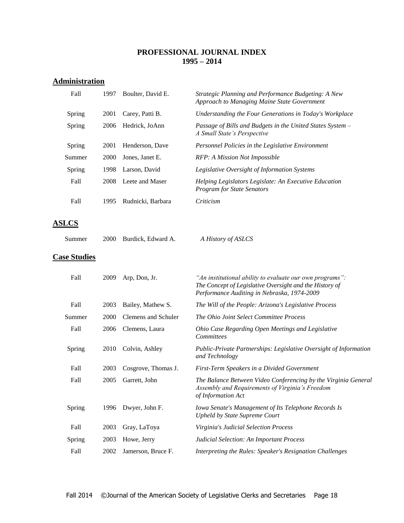#### **PROFESSIONAL JOURNAL INDEX 1995 – 2014**

#### **Administration**

| Fall                | 1997 | Boulter, David E.   | Strategic Planning and Performance Budgeting: A New<br>Approach to Managing Maine State Government                                                                 |
|---------------------|------|---------------------|--------------------------------------------------------------------------------------------------------------------------------------------------------------------|
| Spring              | 2001 | Carey, Patti B.     | Understanding the Four Generations in Today's Workplace                                                                                                            |
| Spring              | 2006 | Hedrick, JoAnn      | Passage of Bills and Budgets in the United States System -<br>A Small State's Perspective                                                                          |
| Spring              | 2001 | Henderson, Dave     | Personnel Policies in the Legislative Environment                                                                                                                  |
| Summer              | 2000 | Jones, Janet E.     | RFP: A Mission Not Impossible                                                                                                                                      |
| Spring              | 1998 | Larson, David       | Legislative Oversight of Information Systems                                                                                                                       |
| Fall                | 2008 | Leete and Maser     | Helping Legislators Legislate: An Executive Education<br><b>Program for State Senators</b>                                                                         |
| Fall                | 1995 | Rudnicki, Barbara   | Criticism                                                                                                                                                          |
| <b>ASLCS</b>        |      |                     |                                                                                                                                                                    |
| Summer              | 2000 | Burdick, Edward A.  | A History of ASLCS                                                                                                                                                 |
| <b>Case Studies</b> |      |                     |                                                                                                                                                                    |
| Fall                | 2009 | Arp, Don, Jr.       | "An institutional ability to evaluate our own programs":<br>The Concept of Legislative Oversight and the History of<br>Performance Auditing in Nebraska, 1974-2009 |
| Fall                | 2003 | Bailey, Mathew S.   | The Will of the People: Arizona's Legislative Process                                                                                                              |
| Summer              | 2000 | Clemens and Schuler | The Ohio Joint Select Committee Process                                                                                                                            |

Fall 2006 Clemens, Laura *Ohio Case Regarding Open Meetings and Legislative Committees*

Spring 2010 Colvin, Ashley *Public-Private Partnerships: Legislative Oversight of Information and Technology*

Fall 2003 Cosgrove, Thomas J. *First-Term Speakers in a Divided Government*

Fall 2005 Garrett, John *The Balance Between Video Conferencing by the Virginia General Assembly and Requirements of Virginia's Freedom of Information Act*

Spring 1996 Dwyer, John F. *Iowa Senate's Management of Its Telephone Records Is Upheld by State Supreme Court*

Fall 2003 Gray, LaToya *Virginia's Judicial Selection Process*

Spring 2003 Howe, Jerry *Judicial Selection: An Important Process*

Fall 2002 Jamerson, Bruce F. *Interpreting the Rules: Speaker's Resignation Challenges*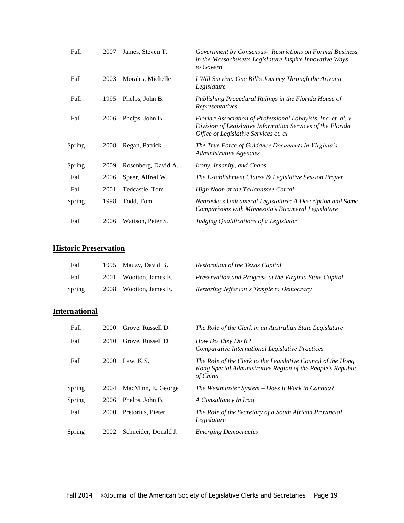| Fall   | 2007 | James, Steven T.    | Government by Consensus - Restrictions on Formal Business<br>in the Massachusetts Legislature Inspire Innovative Ways<br>to Govern                                     |
|--------|------|---------------------|------------------------------------------------------------------------------------------------------------------------------------------------------------------------|
| Fall   | 2003 | Morales, Michelle   | I Will Survive: One Bill's Journey Through the Arizona<br>Legislature                                                                                                  |
| Fall   | 1995 | Phelps, John B.     | Publishing Procedural Rulings in the Florida House of<br>Representatives                                                                                               |
| Fall   | 2006 | Phelps, John B.     | Florida Association of Professional Lobbyists, Inc. et. al. v.<br>Division of Legislative Information Services of the Florida<br>Office of Legislative Services et. al |
| Spring | 2008 | Regan, Patrick      | The True Force of Guidance Documents in Virginia's<br>Administrative Agencies                                                                                          |
| Spring | 2009 | Rosenberg, David A. | <i>Irony, Insanity, and Chaos</i>                                                                                                                                      |
| Fall   | 2006 | Speer, Alfred W.    | The Establishment Clause & Legislative Session Prayer                                                                                                                  |
| Fall   | 2001 | Tedcastle, Tom      | High Noon at the Tallahassee Corral                                                                                                                                    |
| Spring | 1998 | Todd, Tom           | Nebraska's Unicameral Legislature: A Description and Some<br>Comparisons with Minnesota's Bicameral Legislature                                                        |
| Fall   | 2006 | Wattson, Peter S.   | Judging Qualifications of a Legislator                                                                                                                                 |

# **Historic Preservation**

| Fall   | 1995 Mauzy, David B.   | <b>Restoration of the Texas Capitol</b>                 |
|--------|------------------------|---------------------------------------------------------|
| Fall   | 2001 Wootton, James E. | Preservation and Progress at the Virginia State Capitol |
| Spring | 2008 Wootton, James E. | Restoring Jefferson's Temple to Democracy               |

## **International**

| Fall   | <b>2000</b> | Grove, Russell D.    | The Role of the Clerk in an Australian State Legislature                                                                                |
|--------|-------------|----------------------|-----------------------------------------------------------------------------------------------------------------------------------------|
| Fall   | 2010        | Grove, Russell D.    | How Do They Do It?<br>Comparative International Legislative Practices                                                                   |
| Fall   | <b>2000</b> | Law, K.S.            | The Role of the Clerk to the Legislative Council of the Hong<br>Kong Special Administrative Region of the People's Republic<br>of China |
| Spring | 2004        | MacMinn, E. George   | The Westminster System – Does It Work in Canada?                                                                                        |
| Spring | 2006        | Phelps, John B.      | A Consultancy in Iraq                                                                                                                   |
| Fall   | 2000        | Pretorius, Pieter    | The Role of the Secretary of a South African Provincial<br>Legislature                                                                  |
| Spring | 2002        | Schneider, Donald J. | <b>Emerging Democracies</b>                                                                                                             |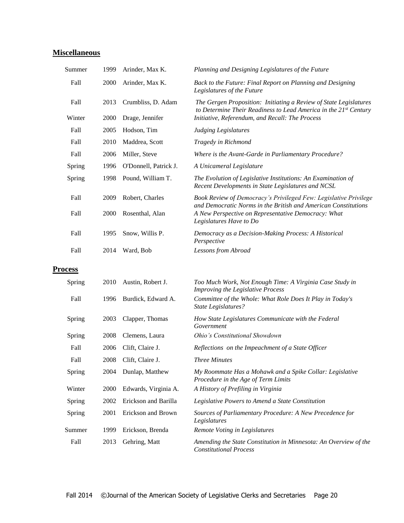# **Miscellaneous**

| Summer         | 1999        | Arinder, Max K.       | Planning and Designing Legislatures of the Future                                                                                                 |
|----------------|-------------|-----------------------|---------------------------------------------------------------------------------------------------------------------------------------------------|
| Fall           | 2000        | Arinder, Max K.       | Back to the Future: Final Report on Planning and Designing<br>Legislatures of the Future                                                          |
| Fall           | 2013        | Crumbliss, D. Adam    | The Gergen Proposition: Initiating a Review of State Legislatures<br>to Determine Their Readiness to Lead America in the 21 <sup>st</sup> Century |
| Winter         | <b>2000</b> | Drage, Jennifer       | Initiative, Referendum, and Recall: The Process                                                                                                   |
| Fall           | 2005        | Hodson, Tim           | <b>Judging Legislatures</b>                                                                                                                       |
| Fall           | 2010        | Maddrea, Scott        | Tragedy in Richmond                                                                                                                               |
| Fall           | 2006        | Miller, Steve         | Where is the Avant-Garde in Parliamentary Procedure?                                                                                              |
| Spring         | 1996        | O'Donnell, Patrick J. | A Unicameral Legislature                                                                                                                          |
| Spring         | 1998        | Pound, William T.     | The Evolution of Legislative Institutions: An Examination of<br>Recent Developments in State Legislatures and NCSL                                |
| Fall           | 2009        | Robert, Charles       | Book Review of Democracy's Privileged Few: Legislative Privilege<br>and Democratic Norms in the British and American Constitutions                |
| Fall           | 2000        | Rosenthal, Alan       | A New Perspective on Representative Democracy: What<br>Legislatures Have to Do                                                                    |
| Fall           | 1995        | Snow, Willis P.       | Democracy as a Decision-Making Process: A Historical<br>Perspective                                                                               |
| Fall           | 2014        | Ward, Bob             | Lessons from Abroad                                                                                                                               |
| <b>Process</b> |             |                       |                                                                                                                                                   |

| Spring | 2010 | Austin, Robert J.    | Too Much Work, Not Enough Time: A Virginia Case Study in<br>Improving the Legislative Process     |
|--------|------|----------------------|---------------------------------------------------------------------------------------------------|
| Fall   | 1996 | Burdick, Edward A.   | Committee of the Whole: What Role Does It Play in Today's<br><b>State Legislatures?</b>           |
| Spring | 2003 | Clapper, Thomas      | How State Legislatures Communicate with the Federal<br>Government                                 |
| Spring | 2008 | Clemens, Laura       | <i>Ohio's Constitutional Showdown</i>                                                             |
| Fall   | 2006 | Clift, Claire J.     | Reflections on the Impeachment of a State Officer                                                 |
| Fall   | 2008 | Clift, Claire J.     | <b>Three Minutes</b>                                                                              |
| Spring | 2004 | Dunlap, Matthew      | My Roommate Has a Mohawk and a Spike Collar: Legislative<br>Procedure in the Age of Term Limits   |
| Winter | 2000 | Edwards, Virginia A. | A History of Prefiling in Virginia                                                                |
| Spring | 2002 | Erickson and Barilla | Legislative Powers to Amend a State Constitution                                                  |
| Spring | 2001 | Erickson and Brown   | Sources of Parliamentary Procedure: A New Precedence for<br>Legislatures                          |
| Summer | 1999 | Erickson, Brenda     | Remote Voting in Legislatures                                                                     |
| Fall   | 2013 | Gehring, Matt        | Amending the State Constitution in Minnesota: An Overview of the<br><b>Constitutional Process</b> |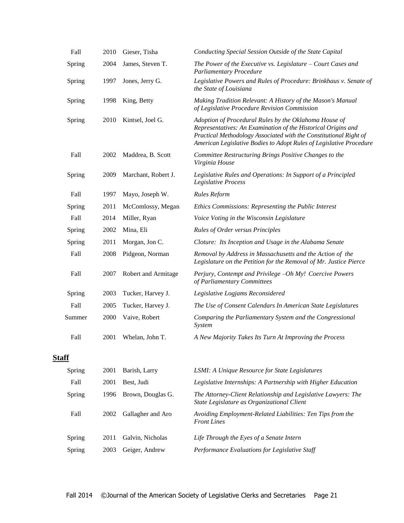| Fall         | 2010      | Gieser, Tisha       | Conducting Special Session Outside of the State Capital                                                                                                                                                                                                            |
|--------------|-----------|---------------------|--------------------------------------------------------------------------------------------------------------------------------------------------------------------------------------------------------------------------------------------------------------------|
| Spring       | 2004      | James, Steven T.    | The Power of the Executive vs. Legislature - Court Cases and<br><b>Parliamentary Procedure</b>                                                                                                                                                                     |
| Spring       | 1997      | Jones, Jerry G.     | Legislative Powers and Rules of Procedure: Brinkhaus v. Senate of<br>the State of Louisiana                                                                                                                                                                        |
| Spring       | 1998      | King, Betty         | Making Tradition Relevant: A History of the Mason's Manual<br>of Legislative Procedure Revision Commission                                                                                                                                                         |
| Spring       | 2010      | Kintsel, Joel G.    | Adoption of Procedural Rules by the Oklahoma House of<br>Representatives: An Examination of the Historical Origins and<br>Practical Methodology Associated with the Constitutional Right of<br>American Legislative Bodies to Adopt Rules of Legislative Procedure |
| Fall         | 2002      | Maddrea, B. Scott   | Committee Restructuring Brings Positive Changes to the<br>Virginia House                                                                                                                                                                                           |
| Spring       | 2009      | Marchant, Robert J. | Legislative Rules and Operations: In Support of a Principled<br>Legislative Process                                                                                                                                                                                |
| Fall         | 1997      | Mayo, Joseph W.     | <b>Rules Reform</b>                                                                                                                                                                                                                                                |
| Spring       | 2011      | McComlossy, Megan   | Ethics Commissions: Representing the Public Interest                                                                                                                                                                                                               |
| Fall         | 2014      | Miller, Ryan        | Voice Voting in the Wisconsin Legislature                                                                                                                                                                                                                          |
| Spring       | 2002      | Mina, Eli           | <b>Rules of Order versus Principles</b>                                                                                                                                                                                                                            |
| Spring       | 2011      | Morgan, Jon C.      | Cloture: Its Inception and Usage in the Alabama Senate                                                                                                                                                                                                             |
| Fall         | 2008      | Pidgeon, Norman     | Removal by Address in Massachusetts and the Action of the<br>Legislature on the Petition for the Removal of Mr. Justice Pierce                                                                                                                                     |
| Fall         | 2007      | Robert and Armitage | Perjury, Contempt and Privilege -Oh My! Coercive Powers<br>of Parliamentary Committees                                                                                                                                                                             |
| Spring       | 2003      | Tucker, Harvey J.   | Legislative Logjams Reconsidered                                                                                                                                                                                                                                   |
| Fall         | 2005      | Tucker, Harvey J.   | The Use of Consent Calendars In American State Legislatures                                                                                                                                                                                                        |
| Summer       | 2000      | Vaive, Robert       | Comparing the Parliamentary System and the Congressional<br>System                                                                                                                                                                                                 |
| Fall         | 2001      | Whelan, John T.     | A New Majority Takes Its Turn At Improving the Process                                                                                                                                                                                                             |
| <b>Staff</b> |           |                     |                                                                                                                                                                                                                                                                    |
|              | $0.001$ D |                     |                                                                                                                                                                                                                                                                    |

| Spring | 2001 | Barish, Larry     | LSMI: A Unique Resource for State Legislatures                                                              |
|--------|------|-------------------|-------------------------------------------------------------------------------------------------------------|
| Fall   | 2001 | Best. Judi        | Legislative Internships: A Partnership with Higher Education                                                |
| Spring | 1996 | Brown, Douglas G. | The Attorney-Client Relationship and Legislative Lawyers: The<br>State Legislature as Organizational Client |
| Fall   | 2002 | Gallagher and Aro | Avoiding Employment-Related Liabilities: Ten Tips from the<br><b>Front Lines</b>                            |
| Spring | 2011 | Galvin, Nicholas  | Life Through the Eyes of a Senate Intern                                                                    |
| Spring | 2003 | Geiger, Andrew    | Performance Evaluations for Legislative Staff                                                               |